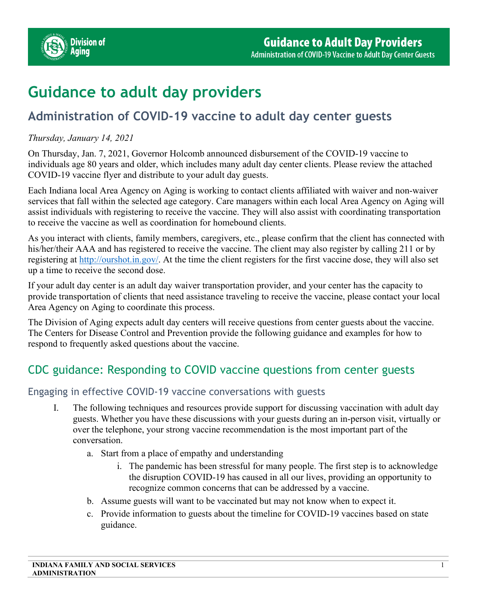

# **Guidance to adult day providers**

# **Administration of COVID-19 vaccine to adult day center guests**

# *Thursday, January 14, 2021*

On Thursday, Jan. 7, 2021, Governor Holcomb announced disbursement of the COVID-19 vaccine to individuals age 80 years and older, which includes many adult day center clients. Please review the attached COVID-19 vaccine flyer and distribute to your adult day guests.

Each Indiana local Area Agency on Aging is working to contact clients affiliated with waiver and non-waiver services that fall within the selected age category. Care managers within each local Area Agency on Aging will assist individuals with registering to receive the vaccine. They will also assist with coordinating transportation to receive the vaccine as well as coordination for homebound clients.

As you interact with clients, family members, caregivers, etc., please confirm that the client has connected with his/her/their AAA and has registered to receive the vaccine. The client may also register by calling 211 or by registering at [http://ourshot.in.gov/.](http://ourshot.in.gov/) At the time the client registers for the first vaccine dose, they will also set up a time to receive the second dose.

If your adult day center is an adult day waiver transportation provider, and your center has the capacity to provide transportation of clients that need assistance traveling to receive the vaccine, please contact your local Area Agency on Aging to coordinate this process.

The Division of Aging expects adult day centers will receive questions from center guests about the vaccine. The Centers for Disease Control and Prevention provide the following guidance and examples for how to respond to frequently asked questions about the vaccine.

# CDC guidance: Responding to COVID vaccine questions from center guests

# Engaging in effective COVID-19 vaccine conversations with guests

- I. The following techniques and resources provide support for discussing vaccination with adult day guests. Whether you have these discussions with your guests during an in-person visit, virtually or over the telephone, your strong vaccine recommendation is the most important part of the conversation.
	- a. Start from a place of empathy and understanding
		- i. The pandemic has been stressful for many people. The first step is to acknowledge the disruption COVID-19 has caused in all our lives, providing an opportunity to recognize common concerns that can be addressed by a vaccine.
	- b. Assume guests will want to be vaccinated but may not know when to expect it.
	- c. Provide information to guests about the timeline for COVID-19 vaccines based on state guidance.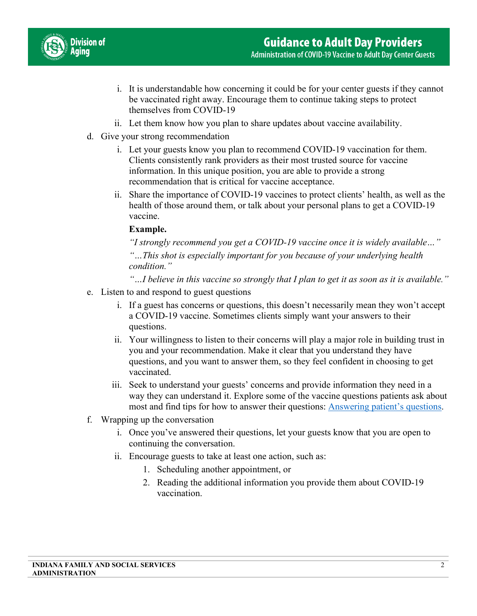

- i. It is understandable how concerning it could be for your center guests if they cannot be vaccinated right away. Encourage them to continue taking steps to protect themselves from COVID-19
- ii. Let them know how you plan to share updates about vaccine availability.
- d. Give your strong recommendation
	- i. Let your guests know you plan to recommend COVID-19 vaccination for them. Clients consistently rank providers as their most trusted source for vaccine information. In this unique position, you are able to provide a strong recommendation that is critical for vaccine acceptance.
	- ii. Share the importance of COVID-19 vaccines to protect clients' health, as well as the health of those around them, or talk about your personal plans to get a COVID-19 vaccine.

#### **Example.**

*"I strongly recommend you get a COVID-19 vaccine once it is widely available…" "…This shot is especially important for you because of your underlying health condition."* 

*"…I believe in this vaccine so strongly that I plan to get it as soon as it is available."* 

- e. Listen to and respond to guest questions
	- i. If a guest has concerns or questions, this doesn't necessarily mean they won't accept a COVID-19 vaccine. Sometimes clients simply want your answers to their questions.
	- ii. Your willingness to listen to their concerns will play a major role in building trust in you and your recommendation. Make it clear that you understand they have questions, and you want to answer them, so they feel confident in choosing to get vaccinated.
	- iii. Seek to understand your guests' concerns and provide information they need in a way they can understand it. Explore some of the vaccine questions patients ask about most and find tips for how to answer their questions: [Answering patient's questions.](https://www.cdc.gov/vaccines/covid-19/hcp/answering-questions.html)
- f. Wrapping up the conversation
	- i. Once you've answered their questions, let your guests know that you are open to continuing the conversation.
	- ii. Encourage guests to take at least one action, such as:
		- 1. Scheduling another appointment, or
		- 2. Reading the additional information you provide them about COVID-19 vaccination.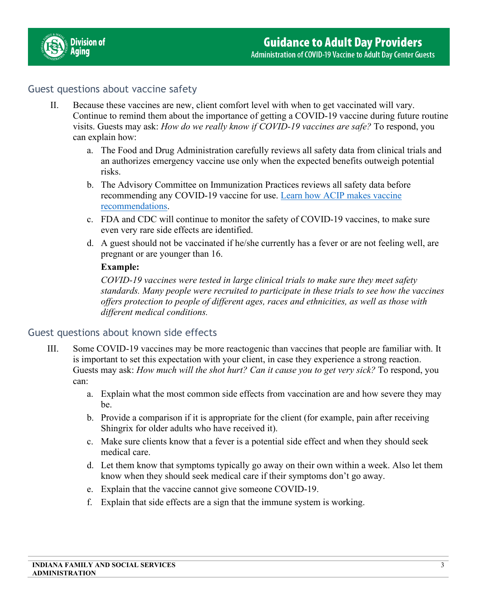

# Guest questions about vaccine safety

- II. Because these vaccines are new, client comfort level with when to get vaccinated will vary. Continue to remind them about the importance of getting a COVID-19 vaccine during future routine visits. Guests may ask: *How do we really know if COVID-19 vaccines are safe?* To respond, you can explain how:
	- a. The Food and Drug Administration carefully reviews all safety data from clinical trials and an authorizes emergency vaccine use only when the expected benefits outweigh potential risks.
	- b. The Advisory Committee on Immunization Practices reviews all safety data before recommending any COVID-19 vaccine for use. [Learn how ACIP makes vaccine](https://www.cdc.gov/vaccines/acip/committee/role-vaccine-recommendations.html)  [recommendations.](https://www.cdc.gov/vaccines/acip/committee/role-vaccine-recommendations.html)
	- c. FDA and CDC will continue to monitor the safety of COVID-19 vaccines, to make sure even very rare side effects are identified.
	- d. A guest should not be vaccinated if he/she currently has a fever or are not feeling well, are pregnant or are younger than 16.

### **Example:**

*COVID-19 vaccines were tested in large clinical trials to make sure they meet safety standards. Many people were recruited to participate in these trials to see how the vaccines offers protection to people of different ages, races and ethnicities, as well as those with different medical conditions.* 

# Guest questions about known side effects

- III. Some COVID-19 vaccines may be more reactogenic than vaccines that people are familiar with. It is important to set this expectation with your client, in case they experience a strong reaction. Guests may ask: *How much will the shot hurt? Can it cause you to get very sick?* To respond, you can:
	- a. Explain what the most common side effects from vaccination are and how severe they may be.
	- b. Provide a comparison if it is appropriate for the client (for example, pain after receiving Shingrix for older adults who have received it).
	- c. Make sure clients know that a fever is a potential side effect and when they should seek medical care.
	- d. Let them know that symptoms typically go away on their own within a week. Also let them know when they should seek medical care if their symptoms don't go away.
	- e. Explain that the vaccine cannot give someone COVID-19.
	- f. Explain that side effects are a sign that the immune system is working.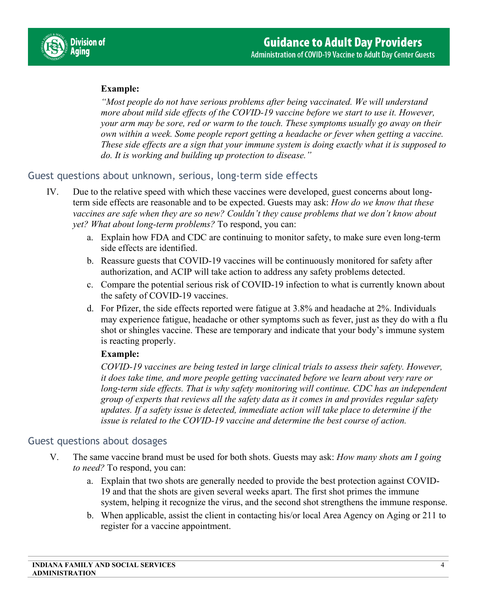

# **Example:**

*"Most people do not have serious problems after being vaccinated. We will understand more about mild side effects of the COVID-19 vaccine before we start to use it. However, your arm may be sore, red or warm to the touch. These symptoms usually go away on their own within a week. Some people report getting a headache or fever when getting a vaccine. These side effects are a sign that your immune system is doing exactly what it is supposed to do. It is working and building up protection to disease."* 

# Guest questions about unknown, serious, long-term side effects

- IV. Due to the relative speed with which these vaccines were developed, guest concerns about longterm side effects are reasonable and to be expected. Guests may ask: *How do we know that these vaccines are safe when they are so new? Couldn't they cause problems that we don't know about yet? What about long-term problems?* To respond, you can:
	- a. Explain how FDA and CDC are continuing to monitor safety, to make sure even long-term side effects are identified.
	- b. Reassure guests that COVID-19 vaccines will be continuously monitored for safety after authorization, and ACIP will take action to address any safety problems detected.
	- c. Compare the potential serious risk of COVID-19 infection to what is currently known about the safety of COVID-19 vaccines.
	- d. For Pfizer, the side effects reported were fatigue at 3.8% and headache at 2%. Individuals may experience fatigue, headache or other symptoms such as fever, just as they do with a flu shot or shingles vaccine. These are temporary and indicate that your body's immune system is reacting properly.

### **Example:**

*COVID-19 vaccines are being tested in large clinical trials to assess their safety. However, it does take time, and more people getting vaccinated before we learn about very rare or long-term side effects. That is why safety monitoring will continue. CDC has an independent group of experts that reviews all the safety data as it comes in and provides regular safety updates. If a safety issue is detected, immediate action will take place to determine if the issue is related to the COVID-19 vaccine and determine the best course of action.* 

### Guest questions about dosages

- V. The same vaccine brand must be used for both shots. Guests may ask: *How many shots am I going*  to need? To respond, you can:
	- a. Explain that two shots are generally needed to provide the best protection against COVID-19 and that the shots are given several weeks apart. The first shot primes the immune system, helping it recognize the virus, and the second shot strengthens the immune response.
	- b. When applicable, assist the client in contacting his/or local Area Agency on Aging or 211 to register for a vaccine appointment.